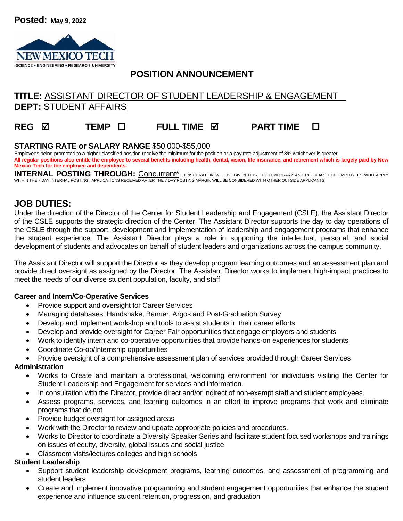

## **POSITION ANNOUNCEMENT**

# **TITLE:** ASSISTANT DIRECTOR OF STUDENT LEADERSHIP & ENGAGEMENT **DEPT:** STUDENT AFFAIRS

# **REG TEMP FULL TIME PART TIME**

#### **STARTING RATE or SALARY RANGE** \$50,000-\$55,000

Emplovees being promoted to a higher classified position receive the minimum for the position or a pay rate adjustment of 8% whichever is greater. **All regular positions also entitle the employee to several benefits including health, dental, vision, life insurance, and retirement which is largely paid by New Mexico Tech for the employee and dependents.** 

INTERNAL POSTING THROUGH: Concurrent<sup>\*</sup> Consideration will be given first to temporary and regular tech employees who apply WITHIN THE 7 DAY INTERNAL POSTING. APPLICATIONS RECEIVED AFTER THE 7 DAY POSTING MARGIN WILL BE CONSIDERED WITH OTHER OUTSIDE APPLICANTS.

### **JOB DUTIES:**

Under the direction of the Director of the Center for Student Leadership and Engagement (CSLE), the Assistant Director of the CSLE supports the strategic direction of the Center. The Assistant Director supports the day to day operations of the CSLE through the support, development and implementation of leadership and engagement programs that enhance the student experience. The Assistant Director plays a role in supporting the intellectual, personal, and social development of students and advocates on behalf of student leaders and organizations across the campus community.

The Assistant Director will support the Director as they develop program learning outcomes and an assessment plan and provide direct oversight as assigned by the Director. The Assistant Director works to implement high-impact practices to meet the needs of our diverse student population, faculty, and staff.

#### **Career and Intern/Co-Operative Services**

- Provide support and oversight for Career Services
- Managing databases: Handshake, Banner, Argos and Post-Graduation Survey
- Develop and implement workshop and tools to assist students in their career efforts
- Develop and provide oversight for Career Fair opportunities that engage employers and students
- Work to identify intern and co-operative opportunities that provide hands-on experiences for students
- Coordinate Co-op/Internship opportunities
- Provide oversight of a comprehensive assessment plan of services provided through Career Services

#### **Administration**

- Works to Create and maintain a professional, welcoming environment for individuals visiting the Center for Student Leadership and Engagement for services and information.
- In consultation with the Director, provide direct and/or indirect of non-exempt staff and student employees.
- Assess programs, services, and learning outcomes in an effort to improve programs that work and eliminate programs that do not
- Provide budget oversight for assigned areas
- Work with the Director to review and update appropriate policies and procedures.
- Works to Director to coordinate a Diversity Speaker Series and facilitate student focused workshops and trainings on issues of equity, diversity, global issues and social justice
- Classroom visits/lectures colleges and high schools

#### **Student Leadership**

- Support student leadership development programs, learning outcomes, and assessment of programming and student leaders
- Create and implement innovative programming and student engagement opportunities that enhance the student experience and influence student retention, progression, and graduation